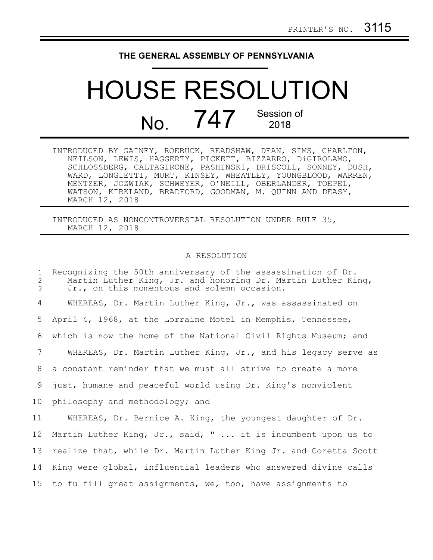## **THE GENERAL ASSEMBLY OF PENNSYLVANIA**

## HOUSE RESOLUTION No.  $747$ <sup>Session of</sup> 2018

| INTRODUCED BY GAINEY, ROEBUCK, READSHAW, DEAN, SIMS, CHARLTON, |  |  |
|----------------------------------------------------------------|--|--|
| NEILSON, LEWIS, HAGGERTY, PICKETT, BIZZARRO, DiGIROLAMO,       |  |  |
| SCHLOSSBERG, CALTAGIRONE, PASHINSKI, DRISCOLL, SONNEY, DUSH,   |  |  |
| WARD, LONGIETTI, MURT, KINSEY, WHEATLEY, YOUNGBLOOD, WARREN,   |  |  |
| MENTZER, JOZWIAK, SCHWEYER, O'NEILL, OBERLANDER, TOEPEL,       |  |  |
| WATSON, KIRKLAND, BRADFORD, GOODMAN, M. QUINN AND DEASY,       |  |  |
| MARCH 12, 2018                                                 |  |  |

INTRODUCED AS NONCONTROVERSIAL RESOLUTION UNDER RULE 35, MARCH 12, 2018

## A RESOLUTION

Recognizing the 50th anniversary of the assassination of Dr. Martin Luther King, Jr. and honoring Dr. Martin Luther King, Jr., on this momentous and solemn occasion. WHEREAS, Dr. Martin Luther King, Jr., was assassinated on April 4, 1968, at the Lorraine Motel in Memphis, Tennessee, which is now the home of the National Civil Rights Museum; and WHEREAS, Dr. Martin Luther King, Jr., and his legacy serve as a constant reminder that we must all strive to create a more just, humane and peaceful world using Dr. King's nonviolent philosophy and methodology; and WHEREAS, Dr. Bernice A. King, the youngest daughter of Dr. Martin Luther King, Jr., said, " ... it is incumbent upon us to realize that, while Dr. Martin Luther King Jr. and Coretta Scott King were global, influential leaders who answered divine calls to fulfill great assignments, we, too, have assignments to 1 2 3 4 5 6 7 8 9 10 11 12 13 14 15